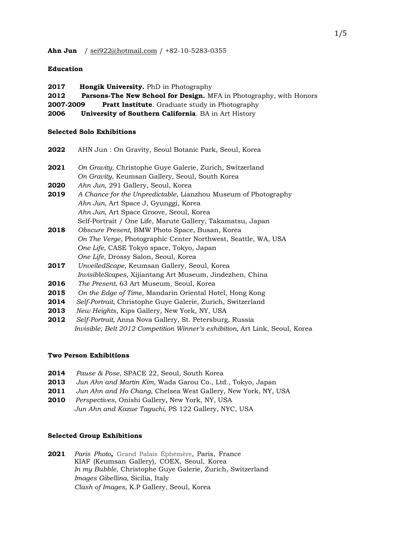# **Education**

**2017 Hongik University.** PhD in Photography **2012 Parsons-The New School for Design.** MFA in Photography, with Honors **2007-2009 Pratt Institute**. Graduate study in Photography **2006 University of Southern California**. BA in Art History

### **Selected Solo Exhibitions**

| 2022 | AHN Jun: On Gravity, Seoul Botanic Park, Seoul, Korea          |
|------|----------------------------------------------------------------|
| 2021 | On Gravity, Christophe Guye Galerie, Zurich, Switzerland       |
|      | On Gravity, Keumsan Gallery, Seoul, South Korea                |
| 2020 | Ahn Jun, 291 Gallery, Seoul, Korea                             |
| 2019 | A Chance for the Unpredictable, Lianzhou Museum of Photography |
|      | Ahn Jun, Art Space J, Gyunggi, Korea                           |
|      | <i>Ahn Jun, Art Space Groove, Seoul, Korea</i>                 |
|      | Self-Portrait / One Life, Marute Gallery, Takamatsu, Japan     |
| 2018 | Obscure Present, BMW Photo Space, Busan, Korea                 |
|      | On The Verge, Photographic Center Northwest, Seattle, WA, USA  |
|      | One Life, CASE Tokyo space, Tokyo, Japan                       |
|      | One Life, Drossy Salon, Seoul, Korea                           |
| 2017 | UnveiledScape, Keumsan Gallery, Seoul, Korea                   |
|      | InvisibleScapes, Xijiantang Art Museum, Jindezhen, China       |
| 2016 | <i>The Present, 63 Art Museum, Seoul, Korea</i>                |
| 2015 | On the Edge of Time, Mandarin Oriental Hotel, Hong Kong        |

- **2014** *Self-Portrait*, Christophe Guye Galerie, Zurich, Switzerland
- **2013** *New Heights*, Kips Gallery, New York, NY, USA
- **2012** *Self-Portrait,* Anna Nova Gallery, St. Petersburg, Russia *Invisible; Belt 2012 Competition Winner's exhibition,* Art Link, Seoul, Korea

## **Two Person Exhibitions**

- **2014** *Pause & Pose*, SPACE 22, Seoul, South Korea
- **2013** *Jun Ahn and Martin Kim*, Wada Garou Co., Ltd., Tokyo, Japan
- **2011** *Jun Ahn and Ho Chang*, Chelsea West Gallery, New York, NY, USA
- **2010** *Perspectives*, Onishi Gallery, New York, NY, USA *Jun Ahn and Kazue Taguchi*, PS 122 Gallery, NYC, USA

### **Selected Group Exhibitions**

**2021** *Paris Photo***,** Grand Palais Éphémère, Paris, France KIAF (Keumsan Gallery), COEX, Seoul, Korea *In my Bubble*, Christophe Guye Galerie, Zurich, Switzerland *Images Gibellina,* Sicilia, Italy *Clash of Images*, K.P Gallery, Seoul, Korea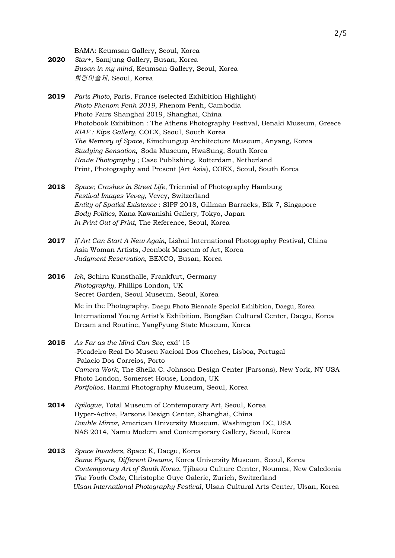BAMA: Keumsan Gallery, Seoul, Korea

- **2020** *Star+*, Samjung Gallery, Busan, Korea *Busan in my mind*, Keumsan Gallery, Seoul, Korea 화랑미술제, Seoul, Korea
- **2019** *Paris Photo*, Paris, France (selected Exhibition Highlight) *Photo Phenom Penh 2019*, Phenom Penh, Cambodia Photo Fairs Shanghai 2019, Shanghai, China Photobook Exhibition : The Athens Photography Festival, Benaki Museum, Greece *KIAF : Kips Gallery*, COEX, Seoul, South Korea *The Memory of Space*, Kimchungup Architecture Museum, Anyang, Korea *Studying Sensation*, Soda Museum, HwaSung, South Korea *Haute Photography* ; Case Publishing, Rotterdam, Netherland Print, Photography and Present (Art Asia), COEX, Seoul, South Korea
- **2018** *Space; Crashes in Street Life*, Triennial of Photography Hamburg *Festival Images Vevey*, Vevey, Switzerland *Entity of Spatial Existence* : SIPF 2018, Gillman Barracks, Blk 7, Singapore *Body Politics*, Kana Kawanishi Gallery, Tokyo, Japan *In Print Out of Print*, The Reference, Seoul, Korea
- **2017** *If Art Can Start A New Again*, Lishui International Photography Festival, China Asia Woman Artists, Jeonbok Museum of Art, Korea *Judgment Reservation*, BEXCO, Busan, Korea
- **2016** *Ich*, Schirn Kunsthalle, Frankfurt, Germany *Photography*, Phillips London, UK Secret Garden, Seoul Museum, Seoul, Korea

Me in the Photography, Daegu Photo Biennale Special Exhibition, Daegu, Korea International Young Artist's Exhibition, BongSan Cultural Center, Daegu, Korea Dream and Routine, YangPyung State Museum, Korea

- **2015** *As Far as the Mind Can See*, exd' 15 -Picadeiro Real Do Museu Nacioal Dos Choches, Lisboa, Portugal -Palacio Dos Correios, Porto *Camera Work*, The Sheila C. Johnson Design Center (Parsons), New York, NY USA Photo London, Somerset House, London, UK *Portfolios*, Hanmi Photography Museum, Seoul, Korea
- **2014** *Epilogue*, Total Museum of Contemporary Art, Seoul, Korea Hyper-Active, Parsons Design Center, Shanghai, China *Double Mirror*, American University Museum, Washington DC, USA NAS 2014, Namu Modern and Contemporary Gallery, Seoul, Korea
- **2013** *Space Invaders,* Space K, Daegu, Korea *Same Figure, Different Dreams*, Korea University Museum, Seoul, Korea *Contemporary Art of South Korea*, Tjibaou Culture Center, Noumea, New Caledonia *The Youth Code*, Christophe Guye Galerie, Zurich, Switzerland *Ulsan International Photography Festival*, Ulsan Cultural Arts Center, Ulsan, Korea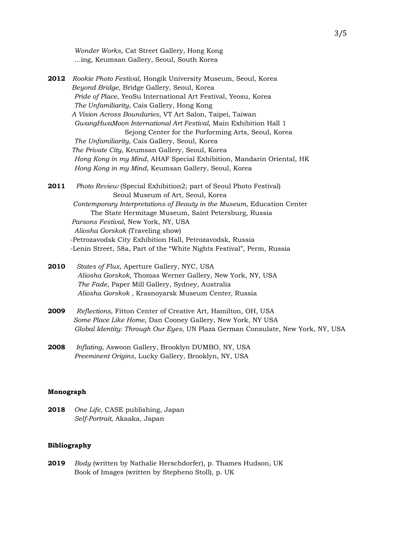*Wonder Works*, Cat Street Gallery, Hong Kong …ing, Keumsan Gallery, Seoul, South Korea

- **2012** *Rookie Photo Festival*, Hongik University Museum, Seoul, Korea  *Beyond Bridge*, Bridge Gallery, Seoul, Korea *Pride of Place*, YeoSu International Art Festival, Yeosu, Korea *The Unfamiliarity*, Cais Gallery, Hong Kong  *A Vision Across Boundaries*, VT Art Salon, Taipei, Taiwan *GwangHwaMoon International Art Festival*, Main Exhibition Hall 1 Sejong Center for the Porforming Arts, Seoul, Korea *The Unfamiliarity*, Cais Gallery, Seoul, Korea  *The Private City*, Keumsan Gallery, Seoul, Korea *Hong Kong in my Mind*, AHAF Special Exhibition, Mandarin Oriental, HK  *Hong Kong in my Mind*, Keumsan Gallery, Seoul, Korea
- **2011** *Photo Review* (Special Exhibition2; part of Seoul Photo Festival) Seoul Museum of Art, Seoul, Korea  *Contemporary Interpretations of Beauty in the Museum*, Education Center The State Hermitage Museum, Saint Petersburg, Russia  *Parsons Festival*, New York, NY, USA *Aliosha Gorskok* (Traveling show) -Petrozavodsk City Exhibition Hall, Petrozavodsk, Russia -Lenin Street, 58a, Part of the "White Nights Festival", Perm, Russia
- **2010** *States of Flux*, Aperture Gallery, NYC, USA *Aliosha Gorskok*, Thomas Werner Gallery, New York, NY, USA *The Fade*, Paper Mill Gallery, Sydney, Australia  *Aliosha Gorskok* , Krasnoyarsk Museum Center, Russia
- **2009** *Reflections*, Fitton Center of Creative Art, Hamilton, OH, USA *Some Place Like Home*, Dan Cooney Gallery, New York, NY USA *Global Identity: Through Our Eyes*, UN Plaza German Consulate, New York, NY, USA
- **2008** *Inflating*, Aswoon Gallery, Brooklyn DUMBO, NY, USA *Preeminent Origins*, Lucky Gallery, Brooklyn, NY, USA

### **Monograph**

**2018** *One Life*, CASE publishing, Japan *Self-Portrait*, Akaaka, Japan

### **Bibliography**

**2019** *Body* (written by Nathalie Herschdorfer), p. Thames Hudson, UK Book of Images (written by Stepheno Stoll), p. UK